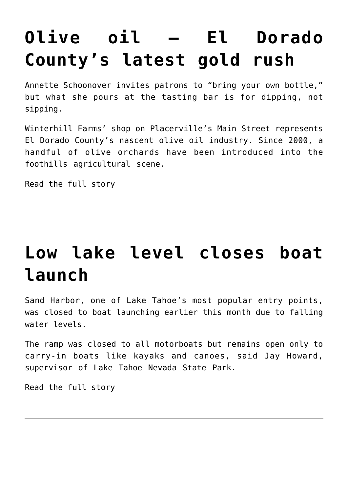# **[Olive oil — El Dorado](https://www.laketahoenews.net/2009/09/olive-oil-%e2%80%93-el-dorado-county%e2%80%99s-latest-gold-rush/) [County's latest gold rush](https://www.laketahoenews.net/2009/09/olive-oil-%e2%80%93-el-dorado-county%e2%80%99s-latest-gold-rush/)**

Annette Schoonover invites patrons to "bring your own bottle," but what she pours at the tasting bar is for dipping, not sipping.

Winterhill Farms' shop on Placerville's Main Street represents El Dorado County's nascent olive oil industry. Since 2000, a handful of olive orchards have been introduced into the foothills agricultural scene.

[Read the full story](http://www.sacbee.com/ourregion/story/2098864.html?mi_rss=Our%2520Region)

### **[Low lake level closes boat](https://www.laketahoenews.net/2009/09/low-lake-level-closes-boat-launch/) [launch](https://www.laketahoenews.net/2009/09/low-lake-level-closes-boat-launch/)**

Sand Harbor, one of Lake Tahoe's most popular entry points, was closed to boat launching earlier this month due to falling water levels.

The ramp was closed to all motorboats but remains open only to carry-in boats like kayaks and canoes, said Jay Howard, supervisor of Lake Tahoe Nevada State Park.

[Read the full story](http://www.rgj.com/apps/pbcs.dll/article?AID=2009908110302)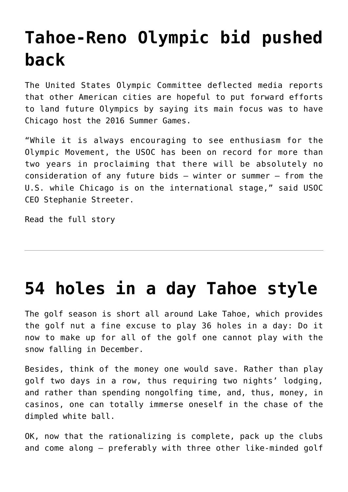### **[Tahoe-Reno Olympic bid pushed](https://www.laketahoenews.net/2009/09/reno-tahoe-olympic-bid-pushed-back/) [back](https://www.laketahoenews.net/2009/09/reno-tahoe-olympic-bid-pushed-back/)**

The United States Olympic Committee deflected media reports that other American cities are hopeful to put forward efforts to land future Olympics by saying its main focus was to have Chicago host the 2016 Summer Games.

"While it is always encouraging to see enthusiasm for the Olympic Movement, the USOC has been on record for more than two years in proclaiming that there will be absolutely no consideration of any future bids – winter or summer – from the U.S. while Chicago is on the international stage," said USOC CEO Stephanie Streeter.

[Read the full story](http://www.thesunnews.com/652/story/1016930.html)

#### **[54 holes in a day Tahoe style](https://www.laketahoenews.net/2009/09/54-holes-in-a-day-tahoe-style/)**

The golf season is short all around Lake Tahoe, which provides the golf nut a fine excuse to play 36 holes in a day: Do it now to make up for all of the golf one cannot play with the snow falling in December.

Besides, think of the money one would save. Rather than play golf two days in a row, thus requiring two nights' lodging, and rather than spending nongolfing time, and, thus, money, in casinos, one can totally immerse oneself in the chase of the dimpled white ball.

OK, now that the rationalizing is complete, pack up the clubs and come along – preferably with three other like-minded golf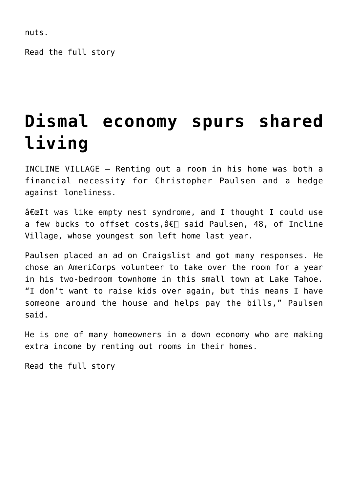nuts.

[Read the full story](http://www.sfgate.com/cgi-bin/article.cgi?f=/c/a/2009/08/07/TRBM190FM7.DTL)

### **[Dismal economy spurs shared](https://www.laketahoenews.net/2009/09/dismal-economy-spurs-shared-living/) [living](https://www.laketahoenews.net/2009/09/dismal-economy-spurs-shared-living/)**

INCLINE VILLAGE — Renting out a room in his home was both a financial necessity for Christopher Paulsen and a hedge against loneliness.

 $\hat{\sigma} \in \mathbb{R}$  was like empty nest syndrome, and I thought I could use a few bucks to offset costs,  $\hat{a} \in \Box$  said Paulsen, 48, of Incline Village, whose youngest son left home last year.

Paulsen placed an ad on Craigslist and got many responses. He chose an AmeriCorps volunteer to take over the room for a year in his two-bedroom townhome in this small town at Lake Tahoe. "I don't want to raise kids over again, but this means I have someone around the house and helps pay the bills," Paulsen said.

He is one of many homeowners in a down economy who are making extra income by renting out rooms in their homes.

[Read the full story](http://www.smdailyjournal.com/article_preview.php?id=114816)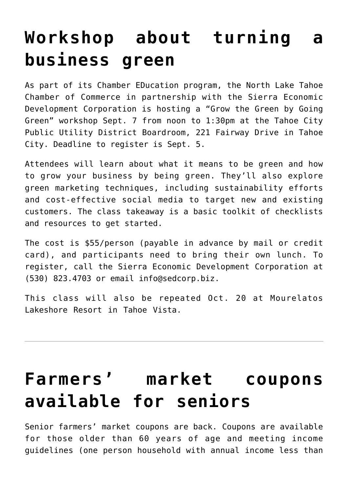#### **[Workshop about turning a](https://www.laketahoenews.net/2001/08/workshop-about-turning-a-business-green/) [business green](https://www.laketahoenews.net/2001/08/workshop-about-turning-a-business-green/)**

As part of its Chamber EDucation program, the North Lake Tahoe Chamber of Commerce in partnership with the Sierra Economic Development Corporation is hosting a "Grow the Green by Going Green" workshop Sept. 7 from noon to 1:30pm at the Tahoe City Public Utility District Boardroom, 221 Fairway Drive in Tahoe City. Deadline to register is Sept. 5.

Attendees will learn about what it means to be green and how to grow your business by being green. They'll also explore green marketing techniques, including sustainability efforts and cost-effective social media to target new and existing customers. The class takeaway is a basic toolkit of checklists and resources to get started.

The cost is \$55/person (payable in advance by mail or credit card), and participants need to bring their own lunch. To register, call the Sierra Economic Development Corporation at (530) 823.4703 or email info@sedcorp.biz.

This class will also be repeated Oct. 20 at Mourelatos Lakeshore Resort in Tahoe Vista.

### **[Farmers' market coupons](https://www.laketahoenews.net/1970/06/farmers-market-coupons-available-for-seniors/) [available for seniors](https://www.laketahoenews.net/1970/06/farmers-market-coupons-available-for-seniors/)**

Senior farmers' market coupons are back. Coupons are available for those older than 60 years of age and meeting income guidelines (one person household with annual income less than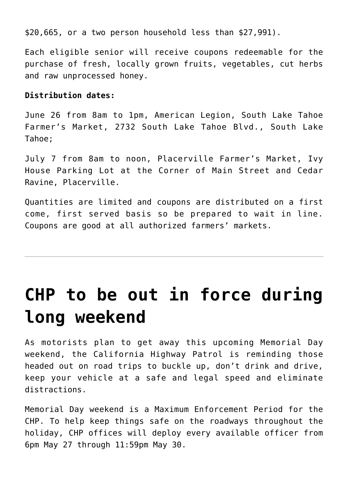\$20,665, or a two person household less than \$27,991).

Each eligible senior will receive coupons redeemable for the purchase of fresh, locally grown fruits, vegetables, cut herbs and raw unprocessed honey.

#### **Distribution dates:**

June 26 from 8am to 1pm, American Legion, South Lake Tahoe Farmer's Market, 2732 South Lake Tahoe Blvd., South Lake Tahoe;

July 7 from 8am to noon, Placerville Farmer's Market, Ivy House Parking Lot at the Corner of Main Street and Cedar Ravine, Placerville.

Quantities are limited and coupons are distributed on a first come, first served basis so be prepared to wait in line. Coupons are good at all authorized farmers' markets.

# **[CHP to be out in force during](https://www.laketahoenews.net/-0001/11/chp-to-be-out-in-force-during-long-weekend/) [long weekend](https://www.laketahoenews.net/-0001/11/chp-to-be-out-in-force-during-long-weekend/)**

As motorists plan to get away this upcoming Memorial Day weekend, the California Highway Patrol is reminding those headed out on road trips to buckle up, don't drink and drive, keep your vehicle at a safe and legal speed and eliminate distractions.

Memorial Day weekend is a Maximum Enforcement Period for the CHP. To help keep things safe on the roadways throughout the holiday, CHP offices will deploy every available officer from 6pm May 27 through 11:59pm May 30.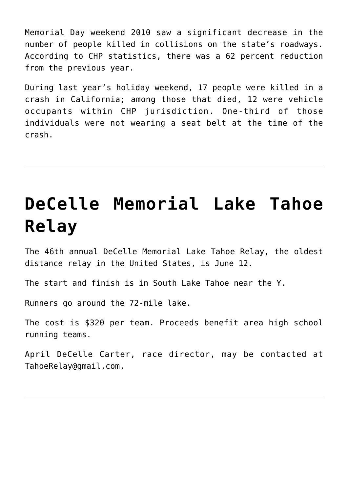Memorial Day weekend 2010 saw a significant decrease in the number of people killed in collisions on the state's roadways. According to CHP statistics, there was a 62 percent reduction from the previous year.

During last year's holiday weekend, 17 people were killed in a crash in California; among those that died, 12 were vehicle occupants within CHP jurisdiction. One-third of those individuals were not wearing a seat belt at the time of the crash.

# **[DeCelle Memorial Lake Tahoe](https://www.laketahoenews.net/-0001/11/decelle-memorial-lake-tahoe-relay-2/) [Relay](https://www.laketahoenews.net/-0001/11/decelle-memorial-lake-tahoe-relay-2/)**

The 46th annual DeCelle Memorial Lake Tahoe Relay, the oldest distance relay in the United States, is June 12.

The start and finish is in South Lake Tahoe near the Y.

Runners go around the 72-mile lake.

The cost is \$320 per team. Proceeds benefit area high school running teams.

April DeCelle Carter, race director, may be contacted at TahoeRelay@gmail.com.